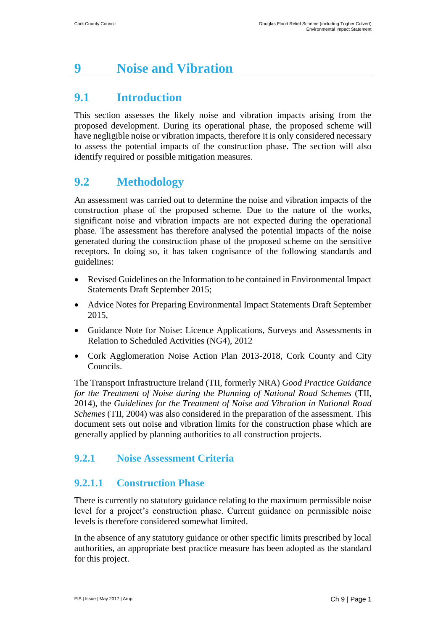# **9 Noise and Vibration**

# **9.1 Introduction**

This section assesses the likely noise and vibration impacts arising from the proposed development. During its operational phase, the proposed scheme will have negligible noise or vibration impacts, therefore it is only considered necessary to assess the potential impacts of the construction phase. The section will also identify required or possible mitigation measures.

# **9.2 Methodology**

An assessment was carried out to determine the noise and vibration impacts of the construction phase of the proposed scheme. Due to the nature of the works, significant noise and vibration impacts are not expected during the operational phase. The assessment has therefore analysed the potential impacts of the noise generated during the construction phase of the proposed scheme on the sensitive receptors. In doing so, it has taken cognisance of the following standards and guidelines:

- Revised Guidelines on the Information to be contained in Environmental Impact Statements Draft September 2015;
- [Advice Notes for Preparing Environmental Impact Statements Draft September](http://www.epa.ie/pubs/consultation/reviewofdrafteisguidelinesadvicenotes/Draft%20Advice%20Notes%20for%20preparing%20an%20EIS.pdf)  [2015,](http://www.epa.ie/pubs/consultation/reviewofdrafteisguidelinesadvicenotes/Draft%20Advice%20Notes%20for%20preparing%20an%20EIS.pdf)
- Guidance Note for Noise: Licence Applications, Surveys and Assessments in Relation to Scheduled Activities (NG4), 2012
- Cork Agglomeration Noise Action Plan 2013-2018, Cork County and City Councils.

The Transport Infrastructure Ireland (TII, formerly NRA) *Good Practice Guidance for the Treatment of Noise during the Planning of National Road Schemes* (TII, 2014), the *Guidelines for the Treatment of Noise and Vibration in National Road Schemes* (TII, 2004) was also considered in the preparation of the assessment. This document sets out noise and vibration limits for the construction phase which are generally applied by planning authorities to all construction projects.

## **9.2.1 Noise Assessment Criteria**

### **9.2.1.1 Construction Phase**

There is currently no statutory guidance relating to the maximum permissible noise level for a project's construction phase. Current guidance on permissible noise levels is therefore considered somewhat limited.

In the absence of any statutory guidance or other specific limits prescribed by local authorities, an appropriate best practice measure has been adopted as the standard for this project.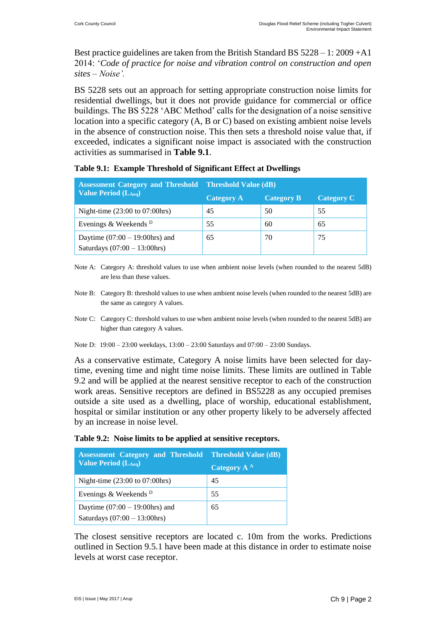Best practice guidelines are taken from the British Standard BS 5228 – 1: 2009 +A1 2014: '*Code of practice for noise and vibration control on construction and open sites – Noise'.* 

BS 5228 sets out an approach for setting appropriate construction noise limits for residential dwellings, but it does not provide guidance for commercial or office buildings. The BS 5228 'ABC Method' calls for the designation of a noise sensitive location into a specific category (A, B or C) based on existing ambient noise levels in the absence of construction noise. This then sets a threshold noise value that, if exceeded, indicates a significant noise impact is associated with the construction activities as summarised in **Table 9.1**.

| <b>Assessment Category and Threshold Threshold Value (dB)</b>        |                   |                   |                   |  |
|----------------------------------------------------------------------|-------------------|-------------------|-------------------|--|
| <b>Value Period (LAeq)</b>                                           | <b>Category A</b> | <b>Category B</b> | <b>Category C</b> |  |
| Night-time $(23:00 \text{ to } 07:00 \text{hrs})$                    | 45                | 50                | 55                |  |
| Evenings & Weekends <sup>D</sup>                                     | 55                | 60                | 65                |  |
| Daytime $(07:00 - 19:00$ hrs) and<br>Saturdays $(07:00 - 13:00$ hrs) | 65                | 70                | 75                |  |

|  | Table 9.1: Example Threshold of Significant Effect at Dwellings |  |
|--|-----------------------------------------------------------------|--|
|  |                                                                 |  |

- Note A: Category A: threshold values to use when ambient noise levels (when rounded to the nearest 5dB) are less than these values.
- Note B: Category B: threshold values to use when ambient noise levels (when rounded to the nearest 5dB) are the same as category A values.
- Note C: Category C: threshold values to use when ambient noise levels (when rounded to the nearest 5dB) are higher than category A values.
- Note D: 19:00 23:00 weekdays, 13:00 23:00 Saturdays and 07:00 23:00 Sundays.

As a conservative estimate, Category A noise limits have been selected for daytime, evening time and night time noise limits. These limits are outlined in Table 9.2 and will be applied at the nearest sensitive receptor to each of the construction work areas. Sensitive receptors are defined in BS5228 as any occupied premises outside a site used as a dwelling, place of worship, educational establishment, hospital or similar institution or any other property likely to be adversely affected by an increase in noise level.

|  | Table 9.2: Noise limits to be applied at sensitive receptors. |  |  |  |
|--|---------------------------------------------------------------|--|--|--|
|--|---------------------------------------------------------------|--|--|--|

| <b>Assessment Category and Threshold Threshold Value (dB)</b>        |                           |  |  |
|----------------------------------------------------------------------|---------------------------|--|--|
| <b>Value Period (LAeq)</b>                                           | Category $\overline{A}^A$ |  |  |
| Night-time $(23:00 \text{ to } 07:00 \text{hrs})$                    | 45                        |  |  |
| Evenings & Weekends <sup>D</sup>                                     | 55                        |  |  |
| Daytime $(07:00 - 19:00$ hrs) and<br>Saturdays $(07:00 - 13:00$ hrs) | 65                        |  |  |

The closest sensitive receptors are located c. 10m from the works. Predictions outlined in Section 9.5.1 have been made at this distance in order to estimate noise levels at worst case receptor.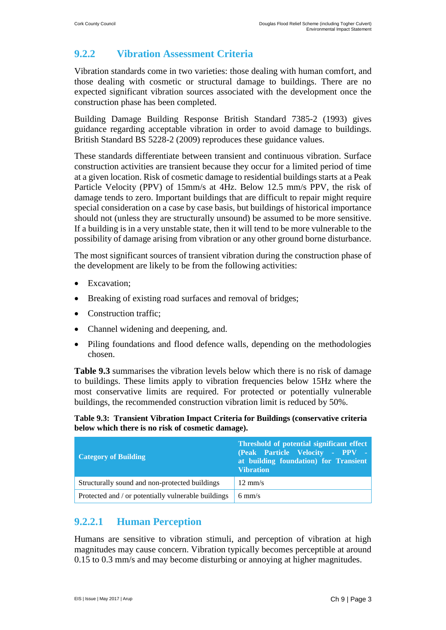## **9.2.2 Vibration Assessment Criteria**

Vibration standards come in two varieties: those dealing with human comfort, and those dealing with cosmetic or structural damage to buildings. There are no expected significant vibration sources associated with the development once the construction phase has been completed.

Building Damage Building Response British Standard 7385-2 (1993) gives guidance regarding acceptable vibration in order to avoid damage to buildings. British Standard BS 5228-2 (2009) reproduces these guidance values.

These standards differentiate between transient and continuous vibration. Surface construction activities are transient because they occur for a limited period of time at a given location. Risk of cosmetic damage to residential buildings starts at a Peak Particle Velocity (PPV) of 15mm/s at 4Hz. Below 12.5 mm/s PPV, the risk of damage tends to zero. Important buildings that are difficult to repair might require special consideration on a case by case basis, but buildings of historical importance should not (unless they are structurally unsound) be assumed to be more sensitive. If a building is in a very unstable state, then it will tend to be more vulnerable to the possibility of damage arising from vibration or any other ground borne disturbance.

The most significant sources of transient vibration during the construction phase of the development are likely to be from the following activities:

- Excavation:
- Breaking of existing road surfaces and removal of bridges;
- Construction traffic:
- Channel widening and deepening, and.
- Piling foundations and flood defence walls, depending on the methodologies chosen.

**Table 9.3** summarises the vibration levels below which there is no risk of damage to buildings. These limits apply to vibration frequencies below 15Hz where the most conservative limits are required. For protected or potentially vulnerable buildings, the recommended construction vibration limit is reduced by 50%.

**Table 9.3: Transient Vibration Impact Criteria for Buildings (conservative criteria below which there is no risk of cosmetic damage).** 

| <b>Category of Building</b>                         | Threshold of potential significant effect<br>(Peak Particle Velocity - PPV -<br>at building foundation) for Transient<br><b>Vibration</b> |
|-----------------------------------------------------|-------------------------------------------------------------------------------------------------------------------------------------------|
| Structurally sound and non-protected buildings      | $12 \text{ mm/s}$                                                                                                                         |
| Protected and / or potentially vulnerable buildings | $6 \text{ mm/s}$                                                                                                                          |

### **9.2.2.1 Human Perception**

Humans are sensitive to vibration stimuli, and perception of vibration at high magnitudes may cause concern. Vibration typically becomes perceptible at around 0.15 to 0.3 mm/s and may become disturbing or annoying at higher magnitudes.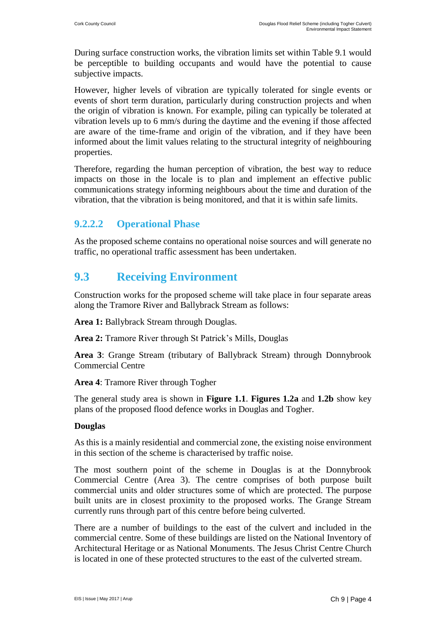During surface construction works, the vibration limits set within Table 9.1 would be perceptible to building occupants and would have the potential to cause subjective impacts.

However, higher levels of vibration are typically tolerated for single events or events of short term duration, particularly during construction projects and when the origin of vibration is known. For example, piling can typically be tolerated at vibration levels up to 6 mm/s during the daytime and the evening if those affected are aware of the time-frame and origin of the vibration, and if they have been informed about the limit values relating to the structural integrity of neighbouring properties.

Therefore, regarding the human perception of vibration, the best way to reduce impacts on those in the locale is to plan and implement an effective public communications strategy informing neighbours about the time and duration of the vibration, that the vibration is being monitored, and that it is within safe limits.

#### **9.2.2.2 Operational Phase**

As the proposed scheme contains no operational noise sources and will generate no traffic, no operational traffic assessment has been undertaken.

## **9.3 Receiving Environment**

Construction works for the proposed scheme will take place in four separate areas along the Tramore River and Ballybrack Stream as follows:

**Area 1:** Ballybrack Stream through Douglas.

**Area 2:** Tramore River through St Patrick's Mills, Douglas

**Area 3**: Grange Stream (tributary of Ballybrack Stream) through Donnybrook Commercial Centre

**Area 4**: Tramore River through Togher

The general study area is shown in **Figure 1.1**. **Figures 1.2a** and **1.2b** show key plans of the proposed flood defence works in Douglas and Togher.

#### **Douglas**

As this is a mainly residential and commercial zone, the existing noise environment in this section of the scheme is characterised by traffic noise.

The most southern point of the scheme in Douglas is at the Donnybrook Commercial Centre (Area 3). The centre comprises of both purpose built commercial units and older structures some of which are protected. The purpose built units are in closest proximity to the proposed works. The Grange Stream currently runs through part of this centre before being culverted.

There are a number of buildings to the east of the culvert and included in the commercial centre. Some of these buildings are listed on the National Inventory of Architectural Heritage or as National Monuments. The Jesus Christ Centre Church is located in one of these protected structures to the east of the culverted stream.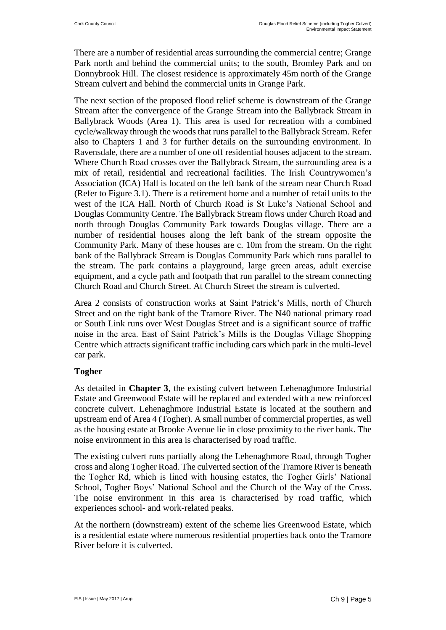There are a number of residential areas surrounding the commercial centre; Grange Park north and behind the commercial units; to the south, Bromley Park and on Donnybrook Hill. The closest residence is approximately 45m north of the Grange Stream culvert and behind the commercial units in Grange Park.

The next section of the proposed flood relief scheme is downstream of the Grange Stream after the convergence of the Grange Stream into the Ballybrack Stream in Ballybrack Woods (Area 1). This area is used for recreation with a combined cycle/walkway through the woods that runs parallel to the Ballybrack Stream. Refer also to Chapters 1 and 3 for further details on the surrounding environment. In Ravensdale, there are a number of one off residential houses adjacent to the stream. Where Church Road crosses over the Ballybrack Stream, the surrounding area is a mix of retail, residential and recreational facilities. The Irish Countrywomen's Association (ICA) Hall is located on the left bank of the stream near Church Road (Refer to Figure 3.1). There is a retirement home and a number of retail units to the west of the ICA Hall. North of Church Road is St Luke's National School and Douglas Community Centre. The Ballybrack Stream flows under Church Road and north through Douglas Community Park towards Douglas village. There are a number of residential houses along the left bank of the stream opposite the Community Park. Many of these houses are c. 10m from the stream. On the right bank of the Ballybrack Stream is Douglas Community Park which runs parallel to the stream. The park contains a playground, large green areas, adult exercise equipment, and a cycle path and footpath that run parallel to the stream connecting Church Road and Church Street. At Church Street the stream is culverted.

Area 2 consists of construction works at Saint Patrick's Mills, north of Church Street and on the right bank of the Tramore River. The N40 national primary road or South Link runs over West Douglas Street and is a significant source of traffic noise in the area. East of Saint Patrick's Mills is the Douglas Village Shopping Centre which attracts significant traffic including cars which park in the multi-level car park.

#### **Togher**

As detailed in **Chapter 3**, the existing culvert between Lehenaghmore Industrial Estate and Greenwood Estate will be replaced and extended with a new reinforced concrete culvert. Lehenaghmore Industrial Estate is located at the southern and upstream end of Area 4 (Togher). A small number of commercial properties, as well as the housing estate at Brooke Avenue lie in close proximity to the river bank. The noise environment in this area is characterised by road traffic.

The existing culvert runs partially along the Lehenaghmore Road, through Togher cross and along Togher Road. The culverted section of the Tramore River is beneath the Togher Rd, which is lined with housing estates, the Togher Girls' National School, Togher Boys' National School and the Church of the Way of the Cross. The noise environment in this area is characterised by road traffic, which experiences school- and work-related peaks.

At the northern (downstream) extent of the scheme lies Greenwood Estate, which is a residential estate where numerous residential properties back onto the Tramore River before it is culverted.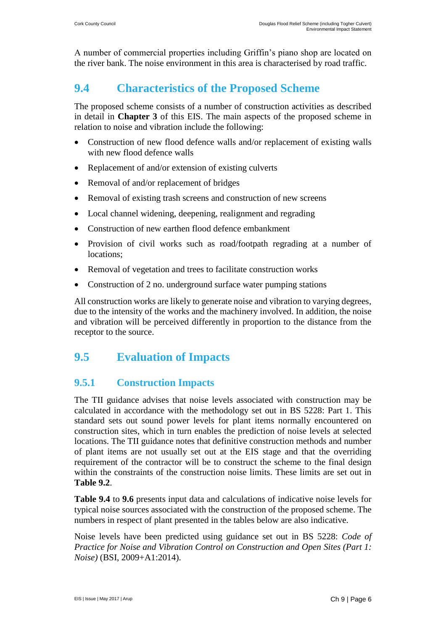A number of commercial properties including Griffin's piano shop are located on the river bank. The noise environment in this area is characterised by road traffic.

# **9.4 Characteristics of the Proposed Scheme**

The proposed scheme consists of a number of construction activities as described in detail in **Chapter 3** of this EIS. The main aspects of the proposed scheme in relation to noise and vibration include the following:

- Construction of new flood defence walls and/or replacement of existing walls with new flood defence walls
- Replacement of and/or extension of existing culverts
- Removal of and/or replacement of bridges
- Removal of existing trash screens and construction of new screens
- Local channel widening, deepening, realignment and regrading
- Construction of new earthen flood defence embankment
- Provision of civil works such as road/footpath regrading at a number of locations;
- Removal of vegetation and trees to facilitate construction works
- Construction of 2 no. underground surface water pumping stations

All construction works are likely to generate noise and vibration to varying degrees, due to the intensity of the works and the machinery involved. In addition, the noise and vibration will be perceived differently in proportion to the distance from the receptor to the source.

# **9.5 Evaluation of Impacts**

### **9.5.1 Construction Impacts**

The TII guidance advises that noise levels associated with construction may be calculated in accordance with the methodology set out in BS 5228: Part 1. This standard sets out sound power levels for plant items normally encountered on construction sites, which in turn enables the prediction of noise levels at selected locations. The TII guidance notes that definitive construction methods and number of plant items are not usually set out at the EIS stage and that the overriding requirement of the contractor will be to construct the scheme to the final design within the constraints of the construction noise limits. These limits are set out in **Table 9.2**.

**Table 9.4** to **9.6** presents input data and calculations of indicative noise levels for typical noise sources associated with the construction of the proposed scheme. The numbers in respect of plant presented in the tables below are also indicative.

Noise levels have been predicted using guidance set out in BS 5228: *Code of Practice for Noise and Vibration Control on Construction and Open Sites (Part 1: Noise)* (BSI, 2009+A1:2014).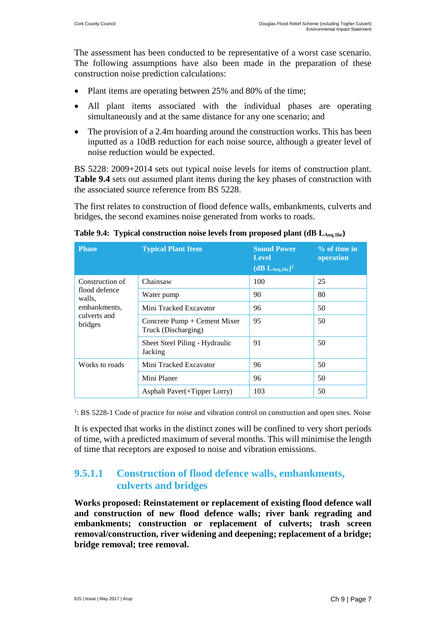The assessment has been conducted to be representative of a worst case scenario. The following assumptions have also been made in the preparation of these construction noise prediction calculations:

- Plant items are operating between 25% and 80% of the time;
- All plant items associated with the individual phases are operating simultaneously and at the same distance for any one scenario; and
- The provision of a 2.4m hoarding around the construction works. This has been inputted as a 10dB reduction for each noise source, although a greater level of noise reduction would be expected.

BS 5228: 2009+2014 sets out typical noise levels for items of construction plant. **Table 9.4** sets out assumed plant items during the key phases of construction with the associated source reference from BS 5228.

The first relates to construction of flood defence walls, embankments, culverts and bridges, the second examines noise generated from works to roads.

| <b>Phase</b>                            | <b>Typical Plant Item</b>                           | <b>Sound Power</b><br><b>Level</b><br>$(dB L_{Aeq,1hr})^1$ | $%$ of time in<br>operation |
|-----------------------------------------|-----------------------------------------------------|------------------------------------------------------------|-----------------------------|
| Construction of                         | Chainsaw                                            | 100                                                        | 25                          |
| flood defence<br>walls,                 | Water pump                                          | 90                                                         | 80                          |
| embankments,<br>culverts and<br>bridges | Mini Tracked Excavator                              | 96                                                         | 50                          |
|                                         | Concrete Pump + Cement Mixer<br>Truck (Discharging) | 95                                                         | 50                          |
|                                         | Sheet Steel Piling - Hydraulic<br>Jacking           | 91                                                         | 50                          |
| Works to roads                          | Mini Tracked Excavator                              | 96                                                         | 50                          |
|                                         | Mini Planer                                         | 96                                                         | 50                          |
|                                         | Asphalt Paver(+Tipper Lorry)                        | 103                                                        | 50                          |

**Table 9.4: Typical construction noise levels from proposed plant (dB LAeq,1hr)**

<sup>1</sup>: BS 5228-1 Code of practice for noise and vibration control on construction and open sites. Noise

It is expected that works in the distinct zones will be confined to very short periods of time, with a predicted maximum of several months. This will minimise the length of time that receptors are exposed to noise and vibration emissions.

#### **9.5.1.1 Construction of flood defence walls, embankments, culverts and bridges**

**Works proposed: Reinstatement or replacement of existing flood defence wall and construction of new flood defence walls; river bank regrading and embankments; construction or replacement of culverts; trash screen removal/construction, river widening and deepening; replacement of a bridge; bridge removal; tree removal.**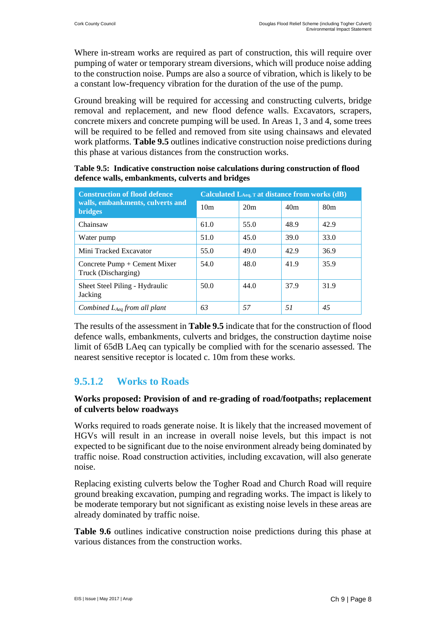Where in-stream works are required as part of construction, this will require over pumping of water or temporary stream diversions, which will produce noise adding to the construction noise. Pumps are also a source of vibration, which is likely to be a constant low-frequency vibration for the duration of the use of the pump.

Ground breaking will be required for accessing and constructing culverts, bridge removal and replacement, and new flood defence walls. Excavators, scrapers, concrete mixers and concrete pumping will be used. In Areas 1, 3 and 4, some trees will be required to be felled and removed from site using chainsaws and elevated work platforms. **Table 9.5** outlines indicative construction noise predictions during this phase at various distances from the construction works.

| <b>Construction of flood defence</b>                  | Calculated LAeq, T at distance from works (dB) |      |                 |                 |
|-------------------------------------------------------|------------------------------------------------|------|-----------------|-----------------|
| walls, embankments, culverts and<br><b>bridges</b>    | 10 <sub>m</sub>                                | 20m  | 40 <sub>m</sub> | 80 <sub>m</sub> |
| Chainsaw                                              | 61.0                                           | 55.0 | 48.9            | 42.9            |
| Water pump                                            | 51.0                                           | 45.0 | 39.0            | 33.0            |
| Mini Tracked Excavator                                | 55.0                                           | 49.0 | 42.9            | 36.9            |
| Concrete $Pump + Cement Mixer$<br>Truck (Discharging) | 54.0                                           | 48.0 | 41.9            | 35.9            |
| Sheet Steel Piling - Hydraulic<br>Jacking             | 50.0                                           | 44.0 | 37.9            | 31.9            |
| Combined $L_{Aea}$ from all plant                     | 63                                             | .57  | 51              | 45              |

**Table 9.5: Indicative construction noise calculations during construction of flood defence walls, embankments, culverts and bridges**

The results of the assessment in **Table 9.5** indicate that for the construction of flood defence walls, embankments, culverts and bridges, the construction daytime noise limit of 65dB LAeq can typically be complied with for the scenario assessed. The nearest sensitive receptor is located c. 10m from these works.

## **9.5.1.2 Works to Roads**

#### **Works proposed: Provision of and re-grading of road/footpaths; replacement of culverts below roadways**

Works required to roads generate noise. It is likely that the increased movement of HGVs will result in an increase in overall noise levels, but this impact is not expected to be significant due to the noise environment already being dominated by traffic noise. Road construction activities, including excavation, will also generate noise.

Replacing existing culverts below the Togher Road and Church Road will require ground breaking excavation, pumping and regrading works. The impact is likely to be moderate temporary but not significant as existing noise levels in these areas are already dominated by traffic noise.

**Table 9.6** outlines indicative construction noise predictions during this phase at various distances from the construction works.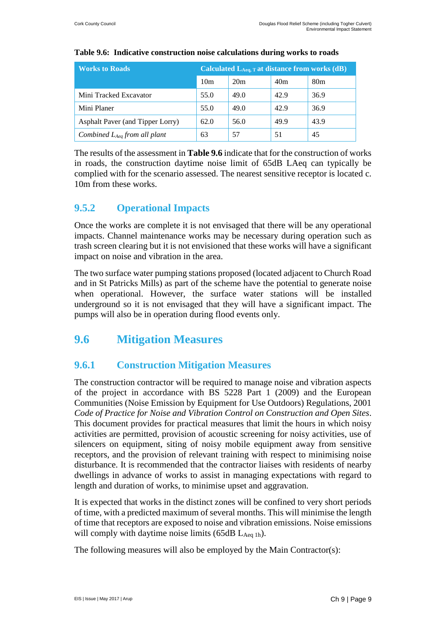| <b>Works to Roads</b>             | Calculated $L_{Aeq, T}$ at distance from works (dB) |      |      |                 |  |
|-----------------------------------|-----------------------------------------------------|------|------|-----------------|--|
|                                   | 10 <sub>m</sub>                                     | 20m  | 40m  | 80 <sub>m</sub> |  |
| Mini Tracked Excavator            | 55.0                                                | 49.0 | 42.9 | 36.9            |  |
| Mini Planer                       | 55.0                                                | 49.0 | 42.9 | 36.9            |  |
| Asphalt Paver (and Tipper Lorry)  | 62.0                                                | 56.0 | 49.9 | 43.9            |  |
| Combined $L_{Aeq}$ from all plant | 63                                                  | 57   | 51   | 45              |  |

#### **Table 9.6: Indicative construction noise calculations during works to roads**

The results of the assessment in **Table 9.6** indicate that for the construction of works in roads, the construction daytime noise limit of 65dB LAeq can typically be complied with for the scenario assessed. The nearest sensitive receptor is located c. 10m from these works.

#### **9.5.2 Operational Impacts**

Once the works are complete it is not envisaged that there will be any operational impacts. Channel maintenance works may be necessary during operation such as trash screen clearing but it is not envisioned that these works will have a significant impact on noise and vibration in the area.

The two surface water pumping stations proposed (located adjacent to Church Road and in St Patricks Mills) as part of the scheme have the potential to generate noise when operational. However, the surface water stations will be installed underground so it is not envisaged that they will have a significant impact. The pumps will also be in operation during flood events only.

# **9.6 Mitigation Measures**

#### **9.6.1 Construction Mitigation Measures**

The construction contractor will be required to manage noise and vibration aspects of the project in accordance with BS 5228 Part 1 (2009) and the European Communities (Noise Emission by Equipment for Use Outdoors) Regulations, 2001 *Code of Practice for Noise and Vibration Control on Construction and Open Sites*. This document provides for practical measures that limit the hours in which noisy activities are permitted, provision of acoustic screening for noisy activities, use of silencers on equipment, siting of noisy mobile equipment away from sensitive receptors, and the provision of relevant training with respect to minimising noise disturbance. It is recommended that the contractor liaises with residents of nearby dwellings in advance of works to assist in managing expectations with regard to length and duration of works, to minimise upset and aggravation.

It is expected that works in the distinct zones will be confined to very short periods of time, with a predicted maximum of several months. This will minimise the length of time that receptors are exposed to noise and vibration emissions. Noise emissions will comply with daytime noise limits  $(65dB L<sub>Aeq1h</sub>)$ .

The following measures will also be employed by the Main Contractor(s):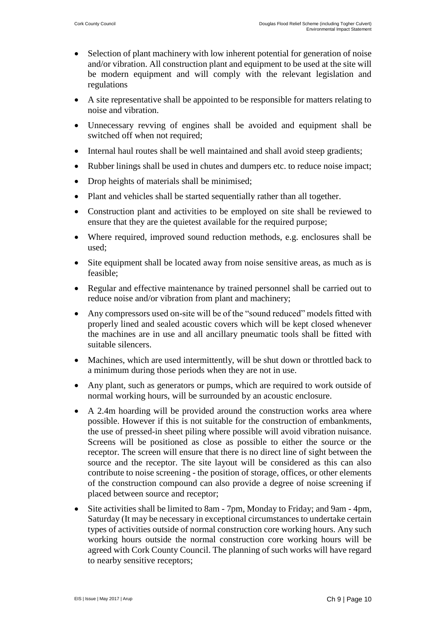- Selection of plant machinery with low inherent potential for generation of noise and/or vibration. All construction plant and equipment to be used at the site will be modern equipment and will comply with the relevant legislation and regulations
- A site representative shall be appointed to be responsible for matters relating to noise and vibration.
- Unnecessary revving of engines shall be avoided and equipment shall be switched off when not required;
- Internal haul routes shall be well maintained and shall avoid steep gradients;
- Rubber linings shall be used in chutes and dumpers etc. to reduce noise impact;
- Drop heights of materials shall be minimised;
- Plant and vehicles shall be started sequentially rather than all together.
- Construction plant and activities to be employed on site shall be reviewed to ensure that they are the quietest available for the required purpose;
- Where required, improved sound reduction methods, e.g. enclosures shall be used;
- Site equipment shall be located away from noise sensitive areas, as much as is feasible;
- Regular and effective maintenance by trained personnel shall be carried out to reduce noise and/or vibration from plant and machinery;
- Any compressors used on-site will be of the "sound reduced" models fitted with properly lined and sealed acoustic covers which will be kept closed whenever the machines are in use and all ancillary pneumatic tools shall be fitted with suitable silencers.
- Machines, which are used intermittently, will be shut down or throttled back to a minimum during those periods when they are not in use.
- Any plant, such as generators or pumps, which are required to work outside of normal working hours, will be surrounded by an acoustic enclosure.
- A 2.4m hoarding will be provided around the construction works area where possible. However if this is not suitable for the construction of embankments, the use of pressed-in sheet piling where possible will avoid vibration nuisance. Screens will be positioned as close as possible to either the source or the receptor. The screen will ensure that there is no direct line of sight between the source and the receptor. The site layout will be considered as this can also contribute to noise screening - the position of storage, offices, or other elements of the construction compound can also provide a degree of noise screening if placed between source and receptor;
- Site activities shall be limited to 8am 7pm, Monday to Friday; and 9am 4pm, Saturday (It may be necessary in exceptional circumstances to undertake certain types of activities outside of normal construction core working hours. Any such working hours outside the normal construction core working hours will be agreed with Cork County Council. The planning of such works will have regard to nearby sensitive receptors;